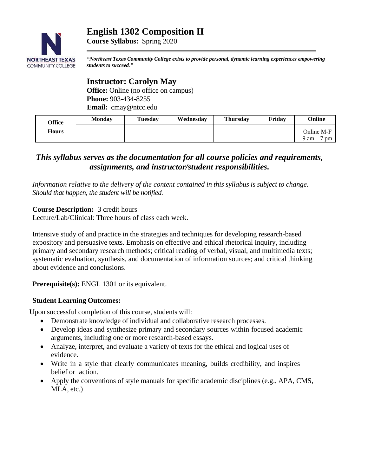# **English 1302 Composition II**



*"Northeast Texas Community College exists to provide personal, dynamic learning experiences empowering students to succeed."*

## **Instructor: Carolyn May**

**Course Syllabus:** Spring 2020

**Office:** Online (no office on campus) **Phone:** 903-434-8255 **Email:** cmay@ntcc.edu

| Office       | <b>Monday</b> | <b>Tuesday</b> | Wednesday | <b>Thursday</b> | Fridav | <b>Online</b>                       |
|--------------|---------------|----------------|-----------|-----------------|--------|-------------------------------------|
| <b>Hours</b> |               |                |           |                 |        | Online M-F                          |
|              |               |                |           |                 |        | $9 \text{ am} -$ .<br><sub>pm</sub> |

## *This syllabus serves as the documentation for all course policies and requirements, assignments, and instructor/student responsibilities.*

*Information relative to the delivery of the content contained in this syllabus is subject to change. Should that happen, the student will be notified.*

**Course Description:** 3 credit hours

Lecture/Lab/Clinical: Three hours of class each week.

Intensive study of and practice in the strategies and techniques for developing research-based expository and persuasive texts. Emphasis on effective and ethical rhetorical inquiry, including primary and secondary research methods; critical reading of verbal, visual, and multimedia texts; systematic evaluation, synthesis, and documentation of information sources; and critical thinking about evidence and conclusions.

**Prerequisite(s):** [ENGL 1301](http://catalog.ntcc.edu/content.php?catoid=10&catoid=10&navoid=1143&filter%5Bitem_type%5D=3&filter%5Bonly_active%5D=1&filter%5B3%5D=1&filter%5Bcpage%5D=3#tt7320) or its equivalent.

## **Student Learning Outcomes:**

Upon successful completion of this course, students will:

- Demonstrate knowledge of individual and collaborative research processes.
- Develop ideas and synthesize primary and secondary sources within focused academic arguments, including one or more research-based essays.
- Analyze, interpret, and evaluate a variety of texts for the ethical and logical uses of evidence.
- Write in a style that clearly communicates meaning, builds credibility, and inspires belief or action.
- Apply the conventions of style manuals for specific academic disciplines (e.g., APA, CMS, MLA, etc.)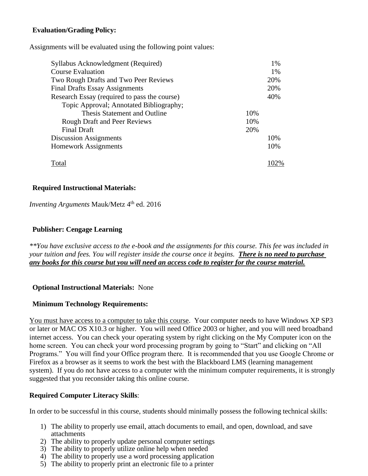## **Evaluation/Grading Policy:**

Assignments will be evaluated using the following point values:

| Syllabus Acknowledgment (Required)           | 1%  |
|----------------------------------------------|-----|
| <b>Course Evaluation</b>                     | 1%  |
| Two Rough Drafts and Two Peer Reviews        | 20% |
| <b>Final Drafts Essay Assignments</b>        | 20% |
| Research Essay (required to pass the course) | 40% |
| Topic Approval; Annotated Bibliography;      |     |
| Thesis Statement and Outline                 | 10% |
| <b>Rough Draft and Peer Reviews</b>          | 10% |
| <b>Final Draft</b>                           | 20% |
| <b>Discussion Assignments</b>                | 10% |
| <b>Homework Assignments</b>                  | 10% |
|                                              |     |
| Total                                        |     |

#### **Required Instructional Materials:**

*Inventing Arguments Mauk/Metz* 4<sup>th</sup> ed. 2016

#### **Publisher: Cengage Learning**

*\*\*You have exclusive access to the e-book and the assignments for this course. This fee was included in your tuition and fees. You will register inside the course once it begins. There is no need to purchase any books for this course but you will need an access code to register for the course material.*

## **Optional Instructional Materials:** None

#### **Minimum Technology Requirements:**

You must have access to a computer to take this course. Your computer needs to have Windows XP SP3 or later or MAC OS X10.3 or higher. You will need Office 2003 or higher, and you will need broadband internet access. You can check your operating system by right clicking on the My Computer icon on the home screen. You can check your word processing program by going to "Start" and clicking on "All Programs." You will find your Office program there. It is recommended that you use Google Chrome or Firefox as a browser as it seems to work the best with the Blackboard LMS (learning management system). If you do not have access to a computer with the minimum computer requirements, it is strongly suggested that you reconsider taking this online course.

## **Required Computer Literacy Skills**:

In order to be successful in this course, students should minimally possess the following technical skills:

- 1) The ability to properly use email, attach documents to email, and open, download, and save attachments
- 2) The ability to properly update personal computer settings
- 3) The ability to properly utilize online help when needed
- 4) The ability to properly use a word processing application
- 5) The ability to properly print an electronic file to a printer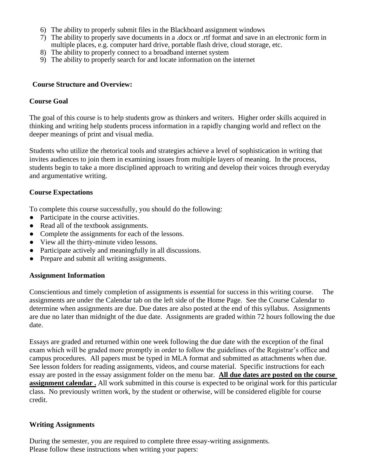- 6) The ability to properly submit files in the Blackboard assignment windows
- 7) The ability to properly save documents in a .docx or .rtf format and save in an electronic form in multiple places, e.g. computer hard drive, portable flash drive, cloud storage, etc.
- 8) The ability to properly connect to a broadband internet system
- 9) The ability to properly search for and locate information on the internet

#### **Course Structure and Overview:**

#### **Course Goal**

The goal of this course is to help students grow as thinkers and writers. Higher order skills acquired in thinking and writing help students process information in a rapidly changing world and reflect on the deeper meanings of print and visual media.

Students who utilize the rhetorical tools and strategies achieve a level of sophistication in writing that invites audiences to join them in examining issues from multiple layers of meaning. In the process, students begin to take a more disciplined approach to writing and develop their voices through everyday and argumentative writing.

#### **Course Expectations**

To complete this course successfully, you should do the following:

- Participate in the course activities.
- Read all of the textbook assignments.
- Complete the assignments for each of the lessons.
- View all the thirty-minute video lessons.
- Participate actively and meaningfully in all discussions.
- Prepare and submit all writing assignments.

#### **Assignment Information**

Conscientious and timely completion of assignments is essential for success in this writing course. The assignments are under the Calendar tab on the left side of the Home Page. See the Course Calendar to determine when assignments are due. Due dates are also posted at the end of this syllabus. Assignments are due no later than midnight of the due date. Assignments are graded within 72 hours following the due date.

Essays are graded and returned within one week following the due date with the exception of the final exam which will be graded more promptly in order to follow the guidelines of the Registrar's office and campus procedures. All papers must be typed in MLA format and submitted as attachments when due. See lesson folders for reading assignments, videos, and course material. Specific instructions for each essay are posted in the essay assignment folder on the menu bar. **All due dates are posted on the course assignment calendar .** All work submitted in this course is expected to be original work for this particular class. No previously written work, by the student or otherwise, will be considered eligible for course credit.

#### **Writing Assignments**

During the semester, you are required to complete three essay-writing assignments. Please follow these instructions when writing your papers: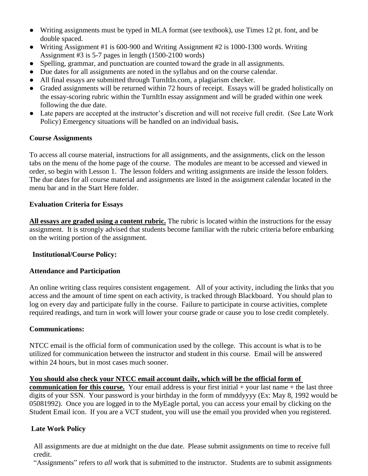- Writing assignments must be typed in MLA format (see textbook), use Times 12 pt. font, and be double spaced.
- Writing Assignment #1 is 600-900 and Writing Assignment #2 is 1000-1300 words. Writing Assignment #3 is 5-7 pages in length (1500-2100 words)
- Spelling, grammar, and punctuation are counted toward the grade in all assignments.
- Due dates for all assignments are noted in the syllabus and on the course calendar.
- All final essays are submitted through TurnItIn.com, a plagiarism checker.
- Graded assignments will be returned within 72 hours of receipt. Essays will be graded holistically on the essay-scoring rubric within the TurnItIn essay assignment and will be graded within one week following the due date.
- Late papers are accepted at the instructor's discretion and will not receive full credit. (See Late Work Policy) Emergency situations will be handled on an individual basis**.**

## **Course Assignments**

To access all course material, instructions for all assignments, and the assignments, click on the lesson tabs on the menu of the home page of the course. The modules are meant to be accessed and viewed in order, so begin with Lesson 1. The lesson folders and writing assignments are inside the lesson folders. The due dates for all course material and assignments are listed in the assignment calendar located in the menu bar and in the Start Here folder.

## **Evaluation Criteria for Essays**

**All essays are graded using a content rubric.** The rubric is located within the instructions for the essay assignment. It is strongly advised that students become familiar with the rubric criteria before embarking on the writing portion of the assignment.

## **Institutional/Course Policy:**

## **Attendance and Participation**

An online writing class requires consistent engagement. All of your activity, including the links that you access and the amount of time spent on each activity, is tracked through Blackboard. You should plan to log on every day and participate fully in the course. Failure to participate in course activities, complete required readings, and turn in work will lower your course grade or cause you to lose credit completely.

## **Communications:**

NTCC email is the official form of communication used by the college. This account is what is to be utilized for communication between the instructor and student in this course. Email will be answered within 24 hours, but in most cases much sooner.

## **You should also check your NTCC email account daily, which will be the official form of**

**communication for this course.** Your email address is your first initial  $+$  your last name  $+$  the last three digits of your SSN. Your password is your birthday in the form of mmddyyyy (Ex: May 8, 1992 would be 05081992). Once you are logged in to the MyEagle portal, you can access your email by clicking on the Student Email icon. If you are a VCT student, you will use the email you provided when you registered.

## **Late Work Policy**

All assignments are due at midnight on the due date. Please submit assignments on time to receive full credit.

"Assignments" refers to *all* work that is submitted to the instructor. Students are to submit assignments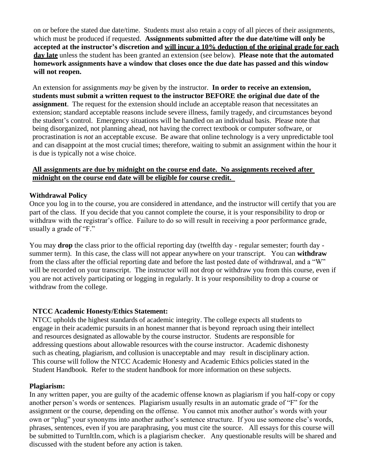on or before the stated due date/time. Students must also retain a copy of all pieces of their assignments, which must be produced if requested. **Assignments submitted after the due date/time will only be accepted at the instructor's discretion and will incur a 10% deduction of the original grade for each day late** unless the student has been granted an extension (see below). **Please note that the automated homework assignments have a window that closes once the due date has passed and this window will not reopen.**

An extension for assignments *may* be given by the instructor. **In order to receive an extension, students must submit a written request to the instructor BEFORE the original due date of the assignment**. The request for the extension should include an acceptable reason that necessitates an extension; standard acceptable reasons include severe illness, family tragedy, and circumstances beyond the student's control. Emergency situations will be handled on an individual basis. Please note that being disorganized, not planning ahead, not having the correct textbook or computer software, or procrastination is *not* an acceptable excuse. Be aware that online technology is a very unpredictable tool and can disappoint at the most crucial times; therefore, waiting to submit an assignment within the hour it is due is typically not a wise choice.

#### **All assignments are due by midnight on the course end date. No assignments received after midnight on the course end date will be eligible for course credit.**

#### **Withdrawal Policy**

Once you log in to the course, you are considered in attendance, and the instructor will certify that you are part of the class. If you decide that you cannot complete the course, it is your responsibility to drop or withdraw with the registrar's office. Failure to do so will result in receiving a poor performance grade, usually a grade of "F."

You may **drop** the class prior to the official reporting day (twelfth day - regular semester; fourth day summer term). In this case, the class will not appear anywhere on your transcript. You can **withdraw** from the class after the official reporting date and before the last posted date of withdrawal, and a "W" will be recorded on your transcript. The instructor will not drop or withdraw you from this course, even if you are not actively participating or logging in regularly. It is your responsibility to drop a course or withdraw from the college.

#### **NTCC Academic Honesty/Ethics Statement:**

NTCC upholds the highest standards of academic integrity. The college expects all students to engage in their academic pursuits in an honest manner that is beyond reproach using their intellect and resources designated as allowable by the course instructor. Students are responsible for addressing questions about allowable resources with the course instructor. Academic dishonesty such as cheating, plagiarism, and collusion is unacceptable and may result in disciplinary action. This course will follow the NTCC Academic Honesty and Academic Ethics policies stated in the Student Handbook. Refer to the student handbook for more information on these subjects.

#### **Plagiarism:**

In any written paper, you are guilty of the academic offense known as plagiarism if you half-copy or copy another person's words or sentences. Plagiarism usually results in an automatic grade of "F" for the assignment or the course, depending on the offense. You cannot mix another author's words with your own or "plug" your synonyms into another author's sentence structure. If you use someone else's words, phrases, sentences, even if you are paraphrasing, you must cite the source. All essays for this course will be submitted to TurnItIn.com, which is a plagiarism checker. Any questionable results will be shared and discussed with the student before any action is taken.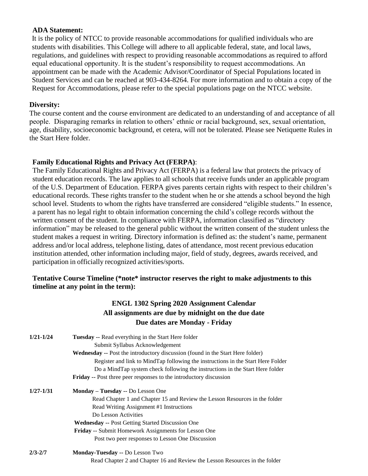#### **ADA Statement:**

It is the policy of NTCC to provide reasonable accommodations for qualified individuals who are students with disabilities. This College will adhere to all applicable federal, state, and local laws, regulations, and guidelines with respect to providing reasonable accommodations as required to afford equal educational opportunity. It is the student's responsibility to request accommodations. An appointment can be made with the Academic Advisor/Coordinator of Special Populations located in Student Services and can be reached at 903-434-8264. For more information and to obtain a copy of the Request for Accommodations, please refer to the special populations page on the NTCC websit[e.](http://www.ntcc.edu/index.php?module=Pagesetter&func=viewpub&tid=111&pid=1) 

#### **Diversity:**

The course content and the course environment are dedicated to an understanding of and acceptance of all people. Disparaging remarks in relation to others' ethnic or racial background, sex, sexual orientation, age, disability, socioeconomic background, et cetera, will not be tolerated. Please see Netiquette Rules in the Start Here folder.

#### **Family Educational Rights and Privacy Act (FERPA)**:

The Family Educational Rights and Privacy Act (FERPA) is a federal law that protects the privacy of student education records. The law applies to all schools that receive funds under an applicable program of the U.S. Department of Education. FERPA gives parents certain rights with respect to their children's educational records. These rights transfer to the student when he or she attends a school beyond the high school level. Students to whom the rights have transferred are considered "eligible students." In essence, a parent has no legal right to obtain information concerning the child's college records without the written consent of the student. In compliance with FERPA, information classified as "directory information" may be released to the general public without the written consent of the student unless the student makes a request in writing. Directory information is defined as: the student's name, permanent address and/or local address, telephone listing, dates of attendance, most recent previous education institution attended, other information including major, field of study, degrees, awards received, and participation in officially recognized activities/sports.

#### **Tentative Course Timeline (\*note\* instructor reserves the right to make adjustments to this timeline at any point in the term):**

## **ENGL 1302 Spring 2020 Assignment Calendar All assignments are due by midnight on the due date Due dates are Monday - Friday**

| $1/21 - 1/24$ | <b>Tuesday --</b> Read everything in the Start Here folder<br>Submit Syllabus Acknowledgement |  |  |  |
|---------------|-----------------------------------------------------------------------------------------------|--|--|--|
|               | Wednesday -- Post the introductory discussion (found in the Start Here folder)                |  |  |  |
|               | Register and link to MindTap following the instructions in the Start Here Folder              |  |  |  |
|               | Do a MindTap system check following the instructions in the Start Here folder                 |  |  |  |
|               | <b>Friday</b> -- Post three peer responses to the introductory discussion                     |  |  |  |
| $1/27 - 1/31$ | Monday - Tuesday -- Do Lesson One                                                             |  |  |  |
|               | Read Chapter 1 and Chapter 15 and Review the Lesson Resources in the folder                   |  |  |  |
|               | Read Writing Assignment #1 Instructions                                                       |  |  |  |
|               | Do Lesson Activities                                                                          |  |  |  |
|               | <b>Wednesday -- Post Getting Started Discussion One</b>                                       |  |  |  |
|               | <b>Friday -- Submit Homework Assignments for Lesson One</b>                                   |  |  |  |
|               | Post two peer responses to Lesson One Discussion                                              |  |  |  |
| $2/3 - 2/7$   | <b>Monday-Tuesday --</b> Do Lesson Two                                                        |  |  |  |
|               | Read Chapter 2 and Chapter 16 and Review the Lesson Resources in the folder                   |  |  |  |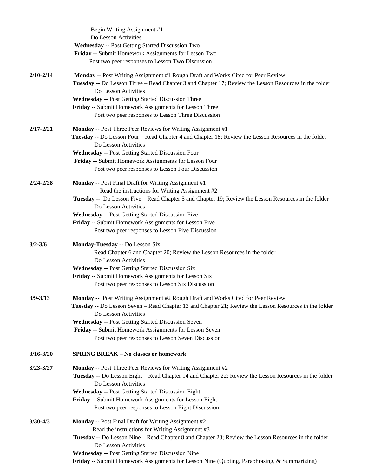|               | Begin Writing Assignment #1                                                                            |
|---------------|--------------------------------------------------------------------------------------------------------|
|               | Do Lesson Activities                                                                                   |
|               | <b>Wednesday -- Post Getting Started Discussion Two</b>                                                |
|               | Friday -- Submit Homework Assignments for Lesson Two                                                   |
|               | Post two peer responses to Lesson Two Discussion                                                       |
| $2/10 - 2/14$ | Monday -- Post Writing Assignment #1 Rough Draft and Works Cited for Peer Review                       |
|               | Tuesday -- Do Lesson Three – Read Chapter 3 and Chapter 17; Review the Lesson Resources in the folder  |
|               | Do Lesson Activities                                                                                   |
|               | <b>Wednesday -- Post Getting Started Discussion Three</b>                                              |
|               | Friday -- Submit Homework Assignments for Lesson Three                                                 |
|               | Post two peer responses to Lesson Three Discussion                                                     |
| $2/17 - 2/21$ | <b>Monday</b> -- Post Three Peer Reviews for Writing Assignment #1                                     |
|               | Tuesday -- Do Lesson Four - Read Chapter 4 and Chapter 18; Review the Lesson Resources in the folder   |
|               | Do Lesson Activities                                                                                   |
|               | Wednesday -- Post Getting Started Discussion Four                                                      |
|               | Friday -- Submit Homework Assignments for Lesson Four                                                  |
|               | Post two peer responses to Lesson Four Discussion                                                      |
| $2/24 - 2/28$ | Monday -- Post Final Draft for Writing Assignment #1                                                   |
|               | Read the instructions for Writing Assignment #2                                                        |
|               | Tuesday -- Do Lesson Five - Read Chapter 5 and Chapter 19; Review the Lesson Resources in the folder   |
|               | Do Lesson Activities                                                                                   |
|               | <b>Wednesday -- Post Getting Started Discussion Five</b>                                               |
|               | Friday -- Submit Homework Assignments for Lesson Five                                                  |
|               | Post two peer responses to Lesson Five Discussion                                                      |
| $3/2 - 3/6$   | Monday-Tuesday -- Do Lesson Six                                                                        |
|               | Read Chapter 6 and Chapter 20; Review the Lesson Resources in the folder                               |
|               | Do Lesson Activities                                                                                   |
|               | <b>Wednesday -- Post Getting Started Discussion Six</b>                                                |
|               | Friday -- Submit Homework Assignments for Lesson Six                                                   |
|               | Post two peer responses to Lesson Six Discussion                                                       |
| $3/9 - 3/13$  | Monday -- Post Writing Assignment #2 Rough Draft and Works Cited for Peer Review                       |
|               | Tuesday -- Do Lesson Seven – Read Chapter 13 and Chapter 21; Review the Lesson Resources in the folder |
|               | Do Lesson Activities                                                                                   |
|               | <b>Wednesday -- Post Getting Started Discussion Seven</b>                                              |
|               | Friday -- Submit Homework Assignments for Lesson Seven                                                 |
|               | Post two peer responses to Lesson Seven Discussion                                                     |
| $3/16 - 3/20$ | <b>SPRING BREAK - No classes or homework</b>                                                           |
| $3/23 - 3/27$ | Monday -- Post Three Peer Reviews for Writing Assignment #2                                            |
|               | Tuesday -- Do Lesson Eight - Read Chapter 14 and Chapter 22; Review the Lesson Resources in the folder |
|               | Do Lesson Activities                                                                                   |
|               | <b>Wednesday -- Post Getting Started Discussion Eight</b>                                              |
|               | Friday -- Submit Homework Assignments for Lesson Eight                                                 |
|               | Post two peer responses to Lesson Eight Discussion                                                     |
| $3/30 - 4/3$  | <b>Monday</b> -- Post Final Draft for Writing Assignment #2                                            |
|               | Read the instructions for Writing Assignment #3                                                        |
|               | Tuesday -- Do Lesson Nine – Read Chapter 8 and Chapter 23; Review the Lesson Resources in the folder   |
|               | Do Lesson Activities                                                                                   |
|               | <b>Wednesday -- Post Getting Started Discussion Nine</b>                                               |
|               | Friday -- Submit Homework Assignments for Lesson Nine (Quoting, Paraphrasing, & Summarizing)           |